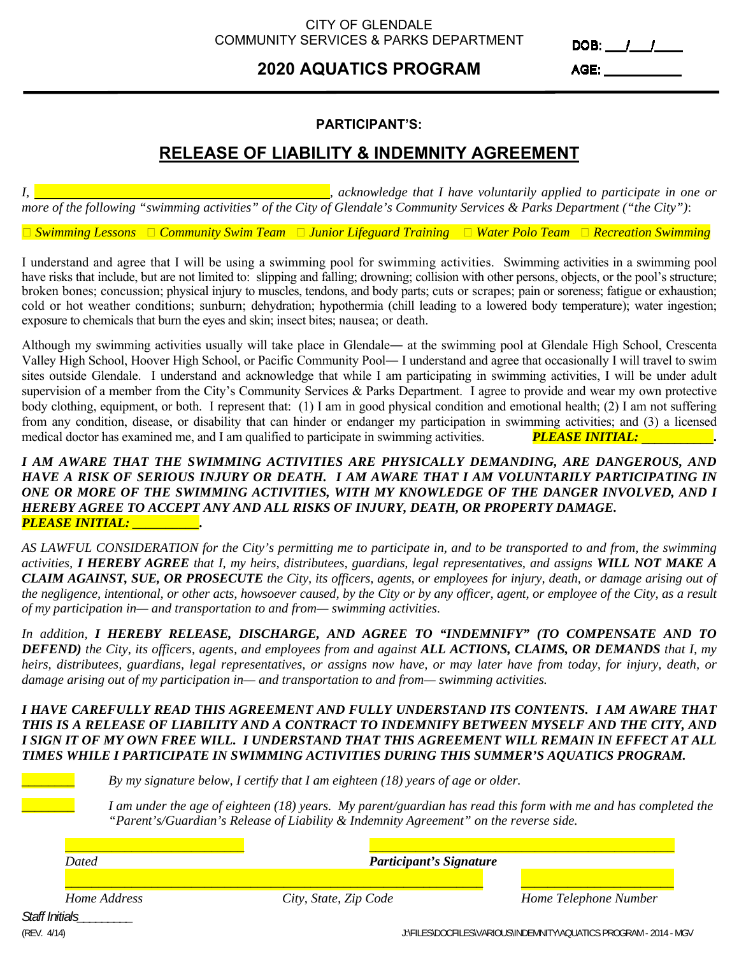### CITY OF GLENDALE COMMUNITY SERVICES & PARKS DEPARTMENT

# **2020 AQUATICS PROGRAM**

DOB:  $11$ 

AGE: A CONTROLLER CONTROLLER CONTROLLER

### **PARTICIPANT'S:**

## **RELEASE OF LIABILITY & INDEMNITY AGREEMENT**

*I, , acknowledge that I have voluntarily applied to participate in one or more of the following "swimming activities" of the City of Glendale's Community Services & Parks Department ("the City")*:

*Swimming Lessons Community Swim Team Junior Lifeguard Training Water Polo Team Recreation Swimming* 

I understand and agree that I will be using a swimming pool for swimming activities. Swimming activities in a swimming pool have risks that include, but are not limited to: slipping and falling; drowning; collision with other persons, objects, or the pool's structure; broken bones; concussion; physical injury to muscles, tendons, and body parts; cuts or scrapes; pain or soreness; fatigue or exhaustion; cold or hot weather conditions; sunburn; dehydration; hypothermia (chill leading to a lowered body temperature); water ingestion; exposure to chemicals that burn the eyes and skin; insect bites; nausea; or death.

Although my swimming activities usually will take place in Glendale― at the swimming pool at Glendale High School, Crescenta Valley High School, Hoover High School, or Pacific Community Pool― I understand and agree that occasionally I will travel to swim sites outside Glendale. I understand and acknowledge that while I am participating in swimming activities, I will be under adult supervision of a member from the City's Community Services & Parks Department. I agree to provide and wear my own protective body clothing, equipment, or both. I represent that: (1) I am in good physical condition and emotional health; (2) I am not suffering from any condition, disease, or disability that can hinder or endanger my participation in swimming activities; and (3) a licensed medical doctor has examined me, and I am qualified to participate in swimming activities. **PLEASE INITIAL:** 

#### *I AM AWARE THAT THE SWIMMING ACTIVITIES ARE PHYSICALLY DEMANDING, ARE DANGEROUS, AND HAVE A RISK OF SERIOUS INJURY OR DEATH. I AM AWARE THAT I AM VOLUNTARILY PARTICIPATING IN ONE OR MORE OF THE SWIMMING ACTIVITIES, WITH MY KNOWLEDGE OF THE DANGER INVOLVED, AND I HEREBY AGREE TO ACCEPT ANY AND ALL RISKS OF INJURY, DEATH, OR PROPERTY DAMAGE. PLEASE INITIAL: \_\_\_\_\_\_\_\_\_\_.*

*AS LAWFUL CONSIDERATION for the City's permitting me to participate in, and to be transported to and from, the swimming activities, I HEREBY AGREE that I, my heirs, distributees, guardians, legal representatives, and assigns WILL NOT MAKE A CLAIM AGAINST, SUE, OR PROSECUTE the City, its officers, agents, or employees for injury, death, or damage arising out of the negligence, intentional, or other acts, howsoever caused, by the City or by any officer, agent, or employee of the City, as a result of my participation in— and transportation to and from— swimming activities*.

*In addition, I HEREBY RELEASE, DISCHARGE, AND AGREE TO "INDEMNIFY" (TO COMPENSATE AND TO DEFEND) the City, its officers, agents, and employees from and against ALL ACTIONS, CLAIMS, OR DEMANDS that I, my heirs, distributees, guardians, legal representatives, or assigns now have, or may later have from today, for injury, death, or damage arising out of my participation in— and transportation to and from— swimming activities.* 

#### *I HAVE CAREFULLY READ THIS AGREEMENT AND FULLY UNDERSTAND ITS CONTENTS. I AM AWARE THAT THIS IS A RELEASE OF LIABILITY AND A CONTRACT TO INDEMNIFY BETWEEN MYSELF AND THE CITY, AND I SIGN IT OF MY OWN FREE WILL. I UNDERSTAND THAT THIS AGREEMENT WILL REMAIN IN EFFECT AT ALL TIMES WHILE I PARTICIPATE IN SWIMMING ACTIVITIES DURING THIS SUMMER'S AQUATICS PROGRAM.*

By my signature below, I certify that I am eighteen (18) years of age or older.

I am under the age of eighteen (18) years. My parent/guardian has read this form with me and has completed the *"Parent's/Guardian's Release of Liability & Indemnity Agreement" on the reverse side.* 

| Home Telephone Number |
|-----------------------|

*Staff Initials\_\_\_\_\_\_\_\_\_*

(REV. 4/14) J:\FILES\DOCFILES\VARIOUS\INDEMNITY\AQUATICS PROGRAM - 2014 - MGV